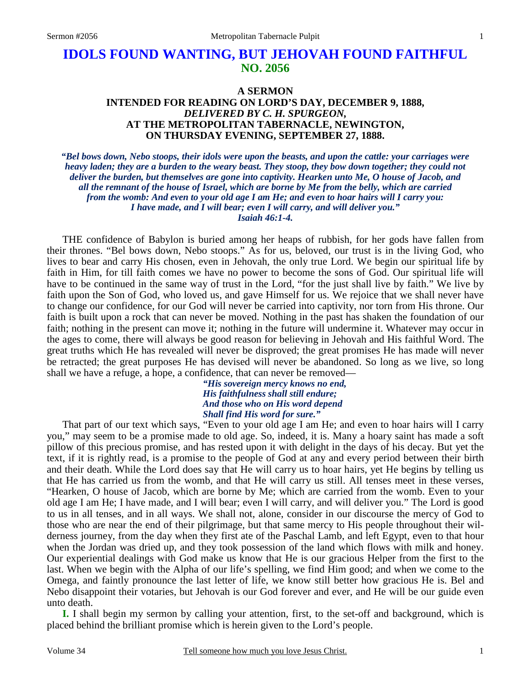# **IDOLS FOUND WANTING, BUT JEHOVAH FOUND FAITHFUL NO. 2056**

# **A SERMON INTENDED FOR READING ON LORD'S DAY, DECEMBER 9, 1888,**  *DELIVERED BY C. H. SPURGEON,*  **AT THE METROPOLITAN TABERNACLE, NEWINGTON, ON THURSDAY EVENING, SEPTEMBER 27, 1888.**

*"Bel bows down, Nebo stoops, their idols were upon the beasts, and upon the cattle: your carriages were heavy laden; they are a burden to the weary beast. They stoop, they bow down together; they could not deliver the burden, but themselves are gone into captivity. Hearken unto Me, O house of Jacob, and all the remnant of the house of Israel, which are borne by Me from the belly, which are carried from the womb: And even to your old age I am He; and even to hoar hairs will I carry you: I have made, and I will bear; even I will carry, and will deliver you." Isaiah 46:1-4.* 

THE confidence of Babylon is buried among her heaps of rubbish, for her gods have fallen from their thrones. "Bel bows down, Nebo stoops." As for us, beloved, our trust is in the living God, who lives to bear and carry His chosen, even in Jehovah, the only true Lord. We begin our spiritual life by faith in Him, for till faith comes we have no power to become the sons of God. Our spiritual life will have to be continued in the same way of trust in the Lord, "for the just shall live by faith." We live by faith upon the Son of God, who loved us, and gave Himself for us. We rejoice that we shall never have to change our confidence, for our God will never be carried into captivity, nor torn from His throne. Our faith is built upon a rock that can never be moved. Nothing in the past has shaken the foundation of our faith; nothing in the present can move it; nothing in the future will undermine it. Whatever may occur in the ages to come, there will always be good reason for believing in Jehovah and His faithful Word. The great truths which He has revealed will never be disproved; the great promises He has made will never be retracted; the great purposes He has devised will never be abandoned. So long as we live, so long shall we have a refuge, a hope, a confidence, that can never be removed—

> *"His sovereign mercy knows no end, His faithfulness shall still endure; And those who on His word depend Shall find His word for sure."*

That part of our text which says, "Even to your old age I am He; and even to hoar hairs will I carry you," may seem to be a promise made to old age. So, indeed, it is. Many a hoary saint has made a soft pillow of this precious promise, and has rested upon it with delight in the days of his decay. But yet the text, if it is rightly read, is a promise to the people of God at any and every period between their birth and their death. While the Lord does say that He will carry us to hoar hairs, yet He begins by telling us that He has carried us from the womb, and that He will carry us still. All tenses meet in these verses, "Hearken, O house of Jacob, which are borne by Me; which are carried from the womb. Even to your old age I am He; I have made, and I will bear; even I will carry, and will deliver you." The Lord is good to us in all tenses, and in all ways. We shall not, alone, consider in our discourse the mercy of God to those who are near the end of their pilgrimage, but that same mercy to His people throughout their wilderness journey, from the day when they first ate of the Paschal Lamb, and left Egypt, even to that hour when the Jordan was dried up, and they took possession of the land which flows with milk and honey. Our experiential dealings with God make us know that He is our gracious Helper from the first to the last. When we begin with the Alpha of our life's spelling, we find Him good; and when we come to the Omega, and faintly pronounce the last letter of life, we know still better how gracious He is. Bel and Nebo disappoint their votaries, but Jehovah is our God forever and ever, and He will be our guide even unto death.

**I.** I shall begin my sermon by calling your attention, first, to the set-off and background, which is placed behind the brilliant promise which is herein given to the Lord's people.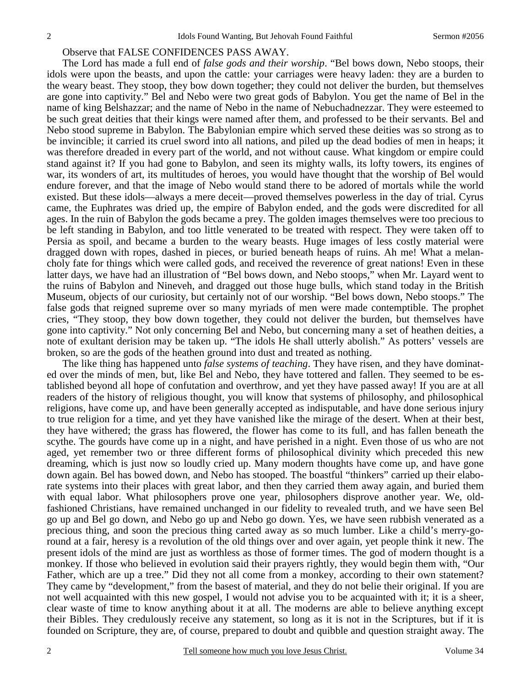Observe that FALSE CONFIDENCES PASS AWAY.

The Lord has made a full end of *false gods and their worship*. "Bel bows down, Nebo stoops, their idols were upon the beasts, and upon the cattle: your carriages were heavy laden: they are a burden to the weary beast. They stoop, they bow down together; they could not deliver the burden, but themselves are gone into captivity." Bel and Nebo were two great gods of Babylon. You get the name of Bel in the name of king Belshazzar; and the name of Nebo in the name of Nebuchadnezzar. They were esteemed to be such great deities that their kings were named after them, and professed to be their servants. Bel and Nebo stood supreme in Babylon. The Babylonian empire which served these deities was so strong as to be invincible; it carried its cruel sword into all nations, and piled up the dead bodies of men in heaps; it was therefore dreaded in every part of the world, and not without cause. What kingdom or empire could stand against it? If you had gone to Babylon, and seen its mighty walls, its lofty towers, its engines of war, its wonders of art, its multitudes of heroes, you would have thought that the worship of Bel would endure forever, and that the image of Nebo would stand there to be adored of mortals while the world existed. But these idols—always a mere deceit—proved themselves powerless in the day of trial. Cyrus came, the Euphrates was dried up, the empire of Babylon ended, and the gods were discredited for all ages. In the ruin of Babylon the gods became a prey. The golden images themselves were too precious to be left standing in Babylon, and too little venerated to be treated with respect. They were taken off to Persia as spoil, and became a burden to the weary beasts. Huge images of less costly material were dragged down with ropes, dashed in pieces, or buried beneath heaps of ruins. Ah me! What a melancholy fate for things which were called gods, and received the reverence of great nations! Even in these latter days, we have had an illustration of "Bel bows down, and Nebo stoops," when Mr. Layard went to the ruins of Babylon and Nineveh, and dragged out those huge bulls, which stand today in the British Museum, objects of our curiosity, but certainly not of our worship. "Bel bows down, Nebo stoops." The false gods that reigned supreme over so many myriads of men were made contemptible. The prophet cries, "They stoop, they bow down together, they could not deliver the burden, but themselves have gone into captivity." Not only concerning Bel and Nebo, but concerning many a set of heathen deities, a note of exultant derision may be taken up. "The idols He shall utterly abolish." As potters' vessels are broken, so are the gods of the heathen ground into dust and treated as nothing.

The like thing has happened unto *false systems of teaching*. They have risen, and they have dominated over the minds of men, but, like Bel and Nebo, they have tottered and fallen. They seemed to be established beyond all hope of confutation and overthrow, and yet they have passed away! If you are at all readers of the history of religious thought, you will know that systems of philosophy, and philosophical religions, have come up, and have been generally accepted as indisputable, and have done serious injury to true religion for a time, and yet they have vanished like the mirage of the desert. When at their best, they have withered; the grass has flowered, the flower has come to its full, and has fallen beneath the scythe. The gourds have come up in a night, and have perished in a night. Even those of us who are not aged, yet remember two or three different forms of philosophical divinity which preceded this new dreaming, which is just now so loudly cried up. Many modern thoughts have come up, and have gone down again. Bel has bowed down, and Nebo has stooped. The boastful "thinkers" carried up their elaborate systems into their places with great labor, and then they carried them away again, and buried them with equal labor. What philosophers prove one year, philosophers disprove another year. We, oldfashioned Christians, have remained unchanged in our fidelity to revealed truth, and we have seen Bel go up and Bel go down, and Nebo go up and Nebo go down. Yes, we have seen rubbish venerated as a precious thing, and soon the precious thing carted away as so much lumber. Like a child's merry-goround at a fair, heresy is a revolution of the old things over and over again, yet people think it new. The present idols of the mind are just as worthless as those of former times. The god of modern thought is a monkey. If those who believed in evolution said their prayers rightly, they would begin them with, "Our Father, which are up a tree." Did they not all come from a monkey, according to their own statement? They came by "development," from the basest of material, and they do not belie their original. If you are not well acquainted with this new gospel, I would not advise you to be acquainted with it; it is a sheer, clear waste of time to know anything about it at all. The moderns are able to believe anything except their Bibles. They credulously receive any statement, so long as it is not in the Scriptures, but if it is founded on Scripture, they are, of course, prepared to doubt and quibble and question straight away. The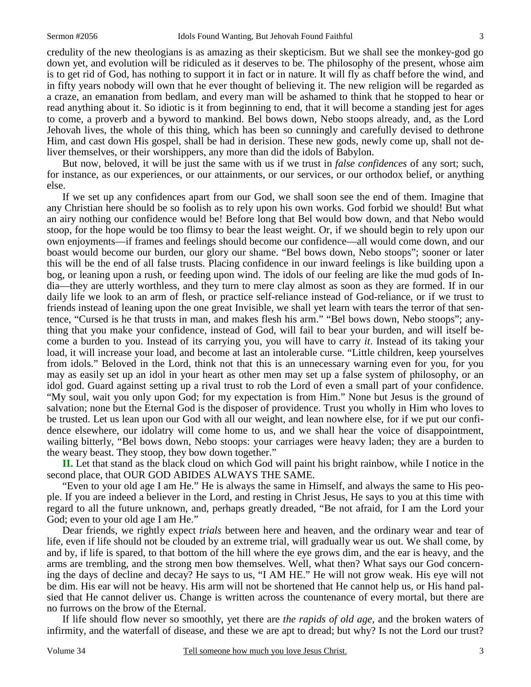credulity of the new theologians is as amazing as their skepticism. But we shall see the monkey-god go down yet, and evolution will be ridiculed as it deserves to be. The philosophy of the present, whose aim is to get rid of God, has nothing to support it in fact or in nature. It will fly as chaff before the wind, and in fifty years nobody will own that he ever thought of believing it. The new religion will be regarded as a craze, an emanation from bedlam, and every man will be ashamed to think that he stopped to hear or read anything about it. So idiotic is it from beginning to end, that it will become a standing jest for ages to come, a proverb and a byword to mankind. Bel bows down, Nebo stoops already, and, as the Lord Jehovah lives, the whole of this thing, which has been so cunningly and carefully devised to dethrone Him, and cast down His gospel, shall be had in derision. These new gods, newly come up, shall not deliver themselves, or their worshippers, any more than did the idols of Babylon.

But now, beloved, it will be just the same with us if we trust in *false confidences* of any sort; such, for instance, as our experiences, or our attainments, or our services, or our orthodox belief, or anything else.

If we set up any confidences apart from our God, we shall soon see the end of them. Imagine that any Christian here should be so foolish as to rely upon his own works. God forbid we should! But what an airy nothing our confidence would be! Before long that Bel would bow down, and that Nebo would stoop, for the hope would be too flimsy to bear the least weight. Or, if we should begin to rely upon our own enjoyments—if frames and feelings should become our confidence—all would come down, and our boast would become our burden, our glory our shame. "Bel bows down, Nebo stoops"; sooner or later this will be the end of all false trusts. Placing confidence in our inward feelings is like building upon a bog, or leaning upon a rush, or feeding upon wind. The idols of our feeling are like the mud gods of India—they are utterly worthless, and they turn to mere clay almost as soon as they are formed. If in our daily life we look to an arm of flesh, or practice self-reliance instead of God-reliance, or if we trust to friends instead of leaning upon the one great Invisible, we shall yet learn with tears the terror of that sentence, "Cursed is he that trusts in man, and makes flesh his arm." "Bel bows down, Nebo stoops"; anything that you make your confidence, instead of God, will fail to bear your burden, and will itself become a burden to you. Instead of its carrying you, you will have to carry *it*. Instead of its taking your load, it will increase your load, and become at last an intolerable curse. "Little children, keep yourselves from idols." Beloved in the Lord, think not that this is an unnecessary warning even for you, for you may as easily set up an idol in your heart as other men may set up a false system of philosophy, or an idol god. Guard against setting up a rival trust to rob the Lord of even a small part of your confidence. "My soul, wait you only upon God; for my expectation is from Him." None but Jesus is the ground of salvation; none but the Eternal God is the disposer of providence. Trust you wholly in Him who loves to be trusted. Let us lean upon our God with all our weight, and lean nowhere else, for if we put our confidence elsewhere, our idolatry will come home to us, and we shall hear the voice of disappointment, wailing bitterly, "Bel bows down, Nebo stoops: your carriages were heavy laden; they are a burden to the weary beast. They stoop, they bow down together."

**II.** Let that stand as the black cloud on which God will paint his bright rainbow, while I notice in the second place, that OUR GOD ABIDES ALWAYS THE SAME.

"Even to your old age I am He." He is always the same in Himself, and always the same to His people. If you are indeed a believer in the Lord, and resting in Christ Jesus, He says to you at this time with regard to all the future unknown, and, perhaps greatly dreaded, "Be not afraid, for I am the Lord your God; even to your old age I am He."

Dear friends, we rightly expect *trials* between here and heaven, and the ordinary wear and tear of life, even if life should not be clouded by an extreme trial, will gradually wear us out. We shall come, by and by, if life is spared, to that bottom of the hill where the eye grows dim, and the ear is heavy, and the arms are trembling, and the strong men bow themselves. Well, what then? What says our God concerning the days of decline and decay? He says to us, "I AM HE." He will not grow weak. His eye will not be dim. His ear will not be heavy. His arm will not be shortened that He cannot help us, or His hand palsied that He cannot deliver us. Change is written across the countenance of every mortal, but there are no furrows on the brow of the Eternal.

If life should flow never so smoothly, yet there are *the rapids of old age,* and the broken waters of infirmity, and the waterfall of disease, and these we are apt to dread; but why? Is not the Lord our trust?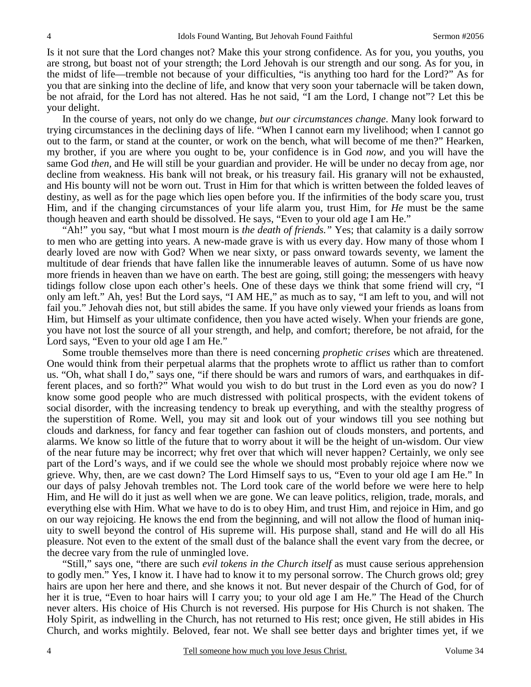Is it not sure that the Lord changes not? Make this your strong confidence. As for you, you youths, you are strong, but boast not of your strength; the Lord Jehovah is our strength and our song. As for you, in the midst of life—tremble not because of your difficulties, "is anything too hard for the Lord?" As for you that are sinking into the decline of life, and know that very soon your tabernacle will be taken down, be not afraid, for the Lord has not altered. Has he not said, "I am the Lord, I change not"? Let this be your delight.

In the course of years, not only do we change, *but our circumstances change*. Many look forward to trying circumstances in the declining days of life. "When I cannot earn my livelihood; when I cannot go out to the farm, or stand at the counter, or work on the bench, what will become of me then?" Hearken, my brother, if you are where you ought to be, your confidence is in God *now,* and you will have the same God *then,* and He will still be your guardian and provider. He will be under no decay from age, nor decline from weakness. His bank will not break, or his treasury fail. His granary will not be exhausted, and His bounty will not be worn out. Trust in Him for that which is written between the folded leaves of destiny, as well as for the page which lies open before you. If the infirmities of the body scare you, trust Him, and if the changing circumstances of your life alarm you, trust Him, for *He* must be the same though heaven and earth should be dissolved. He says, "Even to your old age I am He."

"Ah!" you say, "but what I most mourn is *the death of friends."* Yes; that calamity is a daily sorrow to men who are getting into years. A new-made grave is with us every day. How many of those whom I dearly loved are now with God? When we near sixty, or pass onward towards seventy, we lament the multitude of dear friends that have fallen like the innumerable leaves of autumn. Some of us have now more friends in heaven than we have on earth. The best are going, still going; the messengers with heavy tidings follow close upon each other's heels. One of these days we think that some friend will cry, "I only am left." Ah, yes! But the Lord says, "I AM HE," as much as to say, "I am left to you, and will not fail you." Jehovah dies not, but still abides the same. If you have only viewed your friends as loans from Him, but Himself as your ultimate confidence, then you have acted wisely. When your friends are gone, you have not lost the source of all your strength, and help, and comfort; therefore, be not afraid, for the Lord says, "Even to your old age I am He."

Some trouble themselves more than there is need concerning *prophetic crises* which are threatened. One would think from their perpetual alarms that the prophets wrote to afflict us rather than to comfort us. "Oh, what shall I do," says one, "if there should be wars and rumors of wars, and earthquakes in different places, and so forth?" What would you wish to do but trust in the Lord even as you do now? I know some good people who are much distressed with political prospects, with the evident tokens of social disorder, with the increasing tendency to break up everything, and with the stealthy progress of the superstition of Rome. Well, you may sit and look out of your windows till you see nothing but clouds and darkness, for fancy and fear together can fashion out of clouds monsters, and portents, and alarms. We know so little of the future that to worry about it will be the height of un-wisdom. Our view of the near future may be incorrect; why fret over that which will never happen? Certainly, we only see part of the Lord's ways, and if we could see the whole we should most probably rejoice where now we grieve. Why, then, are we cast down? The Lord Himself says to us, "Even to your old age I am He." In our days of palsy Jehovah trembles not. The Lord took care of the world before we were here to help Him, and He will do it just as well when we are gone. We can leave politics, religion, trade, morals, and everything else with Him. What we have to do is to obey Him, and trust Him, and rejoice in Him, and go on our way rejoicing. He knows the end from the beginning, and will not allow the flood of human iniquity to swell beyond the control of His supreme will. His purpose shall, stand and He will do all His pleasure. Not even to the extent of the small dust of the balance shall the event vary from the decree, or the decree vary from the rule of unmingled love.

"Still," says one, "there are such *evil tokens in the Church itself* as must cause serious apprehension to godly men." Yes, I know it. I have had to know it to my personal sorrow. The Church grows old; grey hairs are upon her here and there, and she knows it not. But never despair of the Church of God, for of her it is true, "Even to hoar hairs will I carry you; to your old age I am He." The Head of the Church never alters. His choice of His Church is not reversed. His purpose for His Church is not shaken. The Holy Spirit, as indwelling in the Church, has not returned to His rest; once given, He still abides in His Church, and works mightily. Beloved, fear not. We shall see better days and brighter times yet, if we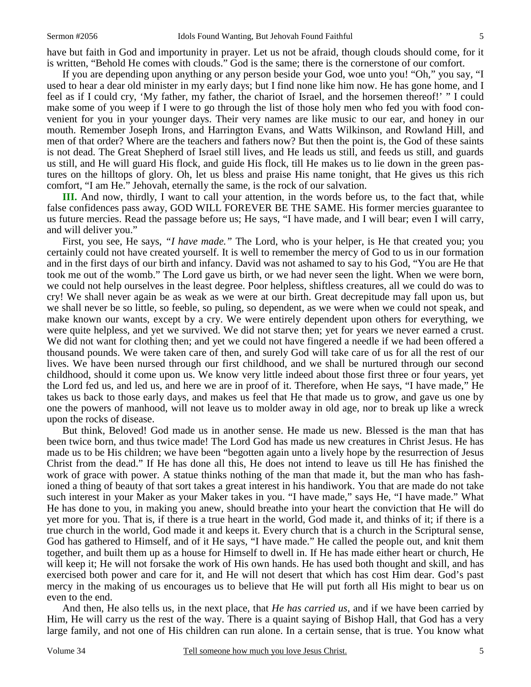have but faith in God and importunity in prayer. Let us not be afraid, though clouds should come, for it is written, "Behold He comes with clouds." God is the same; there is the cornerstone of our comfort.

If you are depending upon anything or any person beside your God, woe unto you! "Oh," you say, "I used to hear a dear old minister in my early days; but I find none like him now. He has gone home, and I feel as if I could cry, 'My father, my father, the chariot of Israel, and the horsemen thereof!' " I could make some of you weep if I were to go through the list of those holy men who fed you with food convenient for you in your younger days. Their very names are like music to our ear, and honey in our mouth. Remember Joseph Irons, and Harrington Evans, and Watts Wilkinson, and Rowland Hill, and men of that order? Where are the teachers and fathers now? But then the point is, the God of these saints is not dead. The Great Shepherd of Israel still lives, and He leads us still, and feeds us still, and guards us still, and He will guard His flock, and guide His flock, till He makes us to lie down in the green pastures on the hilltops of glory. Oh, let us bless and praise His name tonight, that He gives us this rich comfort, "I am He." Jehovah, eternally the same, is the rock of our salvation.

**III.** And now, thirdly, I want to call your attention, in the words before us, to the fact that, while false confidences pass away, GOD WILL FOREVER BE THE SAME. His former mercies guarantee to us future mercies. Read the passage before us; He says, "I have made, and I will bear; even I will carry, and will deliver you."

First, you see, He says, *"I have made."* The Lord, who is your helper, is He that created you; you certainly could not have created yourself. It is well to remember the mercy of God to us in our formation and in the first days of our birth and infancy. David was not ashamed to say to his God, "You are He that took me out of the womb." The Lord gave us birth, or we had never seen the light. When we were born, we could not help ourselves in the least degree. Poor helpless, shiftless creatures, all we could do was to cry! We shall never again be as weak as we were at our birth. Great decrepitude may fall upon us, but we shall never be so little, so feeble, so puling, so dependent, as we were when we could not speak, and make known our wants, except by a cry. We were entirely dependent upon others for everything, we were quite helpless, and yet we survived. We did not starve then; yet for years we never earned a crust. We did not want for clothing then; and yet we could not have fingered a needle if we had been offered a thousand pounds. We were taken care of then, and surely God will take care of us for all the rest of our lives. We have been nursed through our first childhood, and we shall be nurtured through our second childhood, should it come upon us. We know very little indeed about those first three or four years, yet the Lord fed us, and led us, and here we are in proof of it. Therefore, when He says, "I have made," He takes us back to those early days, and makes us feel that He that made us to grow, and gave us one by one the powers of manhood, will not leave us to molder away in old age, nor to break up like a wreck upon the rocks of disease.

But think, Beloved! God made us in another sense. He made us new. Blessed is the man that has been twice born, and thus twice made! The Lord God has made us new creatures in Christ Jesus. He has made us to be His children; we have been "begotten again unto a lively hope by the resurrection of Jesus Christ from the dead." If He has done all this, He does not intend to leave us till He has finished the work of grace with power. A statue thinks nothing of the man that made it, but the man who has fashioned a thing of beauty of that sort takes a great interest in his handiwork. You that are made do not take such interest in your Maker as your Maker takes in you. "I have made," says He, "I have made." What He has done to you, in making you anew, should breathe into your heart the conviction that He will do yet more for you. That is, if there is a true heart in the world, God made it, and thinks of it; if there is a true church in the world, God made it and keeps it. Every church that is a church in the Scriptural sense, God has gathered to Himself, and of it He says, "I have made." He called the people out, and knit them together, and built them up as a house for Himself to dwell in. If He has made either heart or church, He will keep it; He will not forsake the work of His own hands. He has used both thought and skill, and has exercised both power and care for it, and He will not desert that which has cost Him dear. God's past mercy in the making of us encourages us to believe that He will put forth all His might to bear us on even to the end.

And then, He also tells us, in the next place, that *He has carried us,* and if we have been carried by Him, He will carry us the rest of the way. There is a quaint saying of Bishop Hall, that God has a very large family, and not one of His children can run alone. In a certain sense, that is true. You know what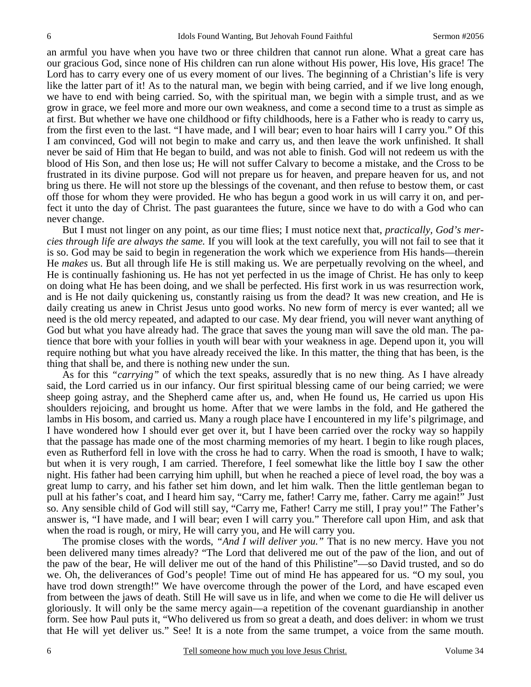an armful you have when you have two or three children that cannot run alone. What a great care has our gracious God, since none of His children can run alone without His power, His love, His grace! The Lord has to carry every one of us every moment of our lives. The beginning of a Christian's life is very like the latter part of it! As to the natural man, we begin with being carried, and if we live long enough, we have to end with being carried. So, with the spiritual man, we begin with a simple trust, and as we grow in grace, we feel more and more our own weakness, and come a second time to a trust as simple as at first. But whether we have one childhood or fifty childhoods, here is a Father who is ready to carry us, from the first even to the last. "I have made, and I will bear; even to hoar hairs will I carry you." Of this I am convinced, God will not begin to make and carry us, and then leave the work unfinished. It shall never be said of Him that He began to build, and was not able to finish. God will not redeem us with the blood of His Son, and then lose us; He will not suffer Calvary to become a mistake, and the Cross to be frustrated in its divine purpose. God will not prepare us for heaven, and prepare heaven for us, and not bring us there. He will not store up the blessings of the covenant, and then refuse to bestow them, or cast off those for whom they were provided. He who has begun a good work in us will carry it on, and perfect it unto the day of Christ. The past guarantees the future, since we have to do with a God who can never change.

But I must not linger on any point, as our time flies; I must notice next that, *practically, God's mercies through life are always the same.* If you will look at the text carefully, you will not fail to see that it is so. God may be said to begin in regeneration the work which we experience from His hands—therein He *makes* us. But all through life He is still making us. We are perpetually revolving on the wheel, and He is continually fashioning us. He has not yet perfected in us the image of Christ. He has only to keep on doing what He has been doing, and we shall be perfected. His first work in us was resurrection work, and is He not daily quickening us, constantly raising us from the dead? It was new creation, and He is daily creating us anew in Christ Jesus unto good works. No new form of mercy is ever wanted; all we need is the old mercy repeated, and adapted to our case. My dear friend, you will never want anything of God but what you have already had. The grace that saves the young man will save the old man. The patience that bore with your follies in youth will bear with your weakness in age. Depend upon it, you will require nothing but what you have already received the like. In this matter, the thing that has been, is the thing that shall be, and there is nothing new under the sun.

As for this *"carrying"* of which the text speaks, assuredly that is no new thing. As I have already said, the Lord carried us in our infancy. Our first spiritual blessing came of our being carried; we were sheep going astray, and the Shepherd came after us, and, when He found us, He carried us upon His shoulders rejoicing, and brought us home. After that we were lambs in the fold, and He gathered the lambs in His bosom, and carried us. Many a rough place have I encountered in my life's pilgrimage, and I have wondered how I should ever get over it, but I have been carried over the rocky way so happily that the passage has made one of the most charming memories of my heart. I begin to like rough places, even as Rutherford fell in love with the cross he had to carry. When the road is smooth, I have to walk; but when it is very rough, I am carried. Therefore, I feel somewhat like the little boy I saw the other night. His father had been carrying him uphill, but when he reached a piece of level road, the boy was a great lump to carry, and his father set him down, and let him walk. Then the little gentleman began to pull at his father's coat, and I heard him say, "Carry me, father! Carry me, father. Carry me again!" Just so. Any sensible child of God will still say, "Carry me, Father! Carry me still, I pray you!" The Father's answer is, "I have made, and I will bear; even I will carry you." Therefore call upon Him, and ask that when the road is rough, or miry, He will carry you, and He will carry you.

The promise closes with the words, *"And I will deliver you."* That is no new mercy. Have you not been delivered many times already? "The Lord that delivered me out of the paw of the lion, and out of the paw of the bear, He will deliver me out of the hand of this Philistine"—so David trusted, and so do we. Oh, the deliverances of God's people! Time out of mind He has appeared for us. "O my soul, you have trod down strength!" We have overcome through the power of the Lord, and have escaped even from between the jaws of death. Still He will save us in life, and when we come to die He will deliver us gloriously. It will only be the same mercy again—a repetition of the covenant guardianship in another form. See how Paul puts it, "Who delivered us from so great a death, and does deliver: in whom we trust that He will yet deliver us." See! It is a note from the same trumpet, a voice from the same mouth.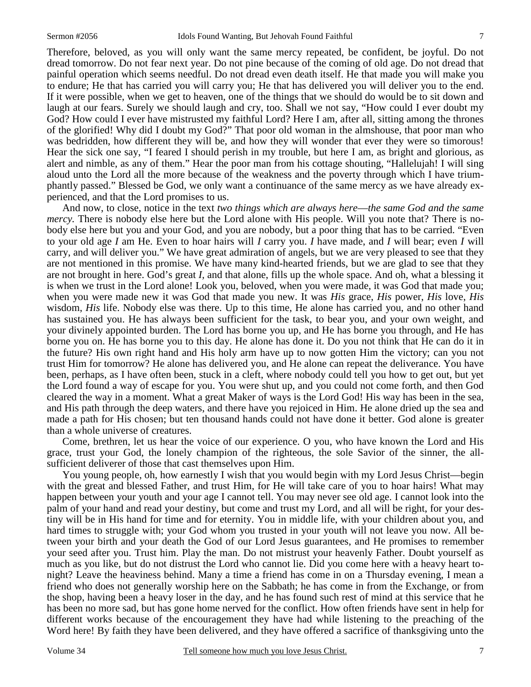Therefore, beloved, as you will only want the same mercy repeated, be confident, be joyful. Do not dread tomorrow. Do not fear next year. Do not pine because of the coming of old age. Do not dread that painful operation which seems needful. Do not dread even death itself. He that made you will make you to endure; He that has carried you will carry you; He that has delivered you will deliver you to the end. If it were possible, when we get to heaven, one of the things that we should do would be to sit down and laugh at our fears. Surely we should laugh and cry, too. Shall we not say, "How could I ever doubt my God? How could I ever have mistrusted my faithful Lord? Here I am, after all, sitting among the thrones of the glorified! Why did I doubt my God?" That poor old woman in the almshouse, that poor man who was bedridden, how different they will be, and how they will wonder that ever they were so timorous! Hear the sick one say, "I feared I should perish in my trouble, but here I am, as bright and glorious, as alert and nimble, as any of them." Hear the poor man from his cottage shouting, "Hallelujah! I will sing aloud unto the Lord all the more because of the weakness and the poverty through which I have triumphantly passed." Blessed be God, we only want a continuance of the same mercy as we have already experienced, and that the Lord promises to us.

And now, to close, notice in the text *two things which are always here*—*the same God and the same mercy*. There is nobody else here but the Lord alone with His people. Will you note that? There is nobody else here but you and your God, and you are nobody, but a poor thing that has to be carried. "Even to your old age *I* am He. Even to hoar hairs will *I* carry you. *I* have made, and *I* will bear; even *I* will carry, and will deliver you." We have great admiration of angels, but we are very pleased to see that they are not mentioned in this promise. We have many kind-hearted friends, but we are glad to see that they are not brought in here. God's great *I,* and that alone, fills up the whole space. And oh, what a blessing it is when we trust in the Lord alone! Look you, beloved, when you were made, it was God that made you; when you were made new it was God that made you new. It was *His* grace, *His* power, *His* love, *His* wisdom, *His* life. Nobody else was there. Up to this time, He alone has carried you, and no other hand has sustained you. He has always been sufficient for the task, to bear you, and your own weight, and your divinely appointed burden. The Lord has borne you up, and He has borne you through, and He has borne you on. He has borne you to this day. He alone has done it. Do you not think that He can do it in the future? His own right hand and His holy arm have up to now gotten Him the victory; can you not trust Him for tomorrow? He alone has delivered you, and He alone can repeat the deliverance. You have been, perhaps, as I have often been, stuck in a cleft, where nobody could tell you how to get out, but yet the Lord found a way of escape for you. You were shut up, and you could not come forth, and then God cleared the way in a moment. What a great Maker of ways is the Lord God! His way has been in the sea, and His path through the deep waters, and there have you rejoiced in Him. He alone dried up the sea and made a path for His chosen; but ten thousand hands could not have done it better. God alone is greater than a whole universe of creatures.

Come, brethren, let us hear the voice of our experience. O you, who have known the Lord and His grace, trust your God, the lonely champion of the righteous, the sole Savior of the sinner, the allsufficient deliverer of those that cast themselves upon Him.

You young people, oh, how earnestly I wish that you would begin with my Lord Jesus Christ—begin with the great and blessed Father, and trust Him, for He will take care of you to hoar hairs! What may happen between your youth and your age I cannot tell. You may never see old age. I cannot look into the palm of your hand and read your destiny, but come and trust my Lord, and all will be right, for your destiny will be in His hand for time and for eternity. You in middle life, with your children about you, and hard times to struggle with; your God whom you trusted in your youth will not leave you now. All between your birth and your death the God of our Lord Jesus guarantees, and He promises to remember your seed after you. Trust him. Play the man. Do not mistrust your heavenly Father. Doubt yourself as much as you like, but do not distrust the Lord who cannot lie. Did you come here with a heavy heart tonight? Leave the heaviness behind. Many a time a friend has come in on a Thursday evening, I mean a friend who does not generally worship here on the Sabbath; he has come in from the Exchange, or from the shop, having been a heavy loser in the day, and he has found such rest of mind at this service that he has been no more sad, but has gone home nerved for the conflict. How often friends have sent in help for different works because of the encouragement they have had while listening to the preaching of the Word here! By faith they have been delivered, and they have offered a sacrifice of thanksgiving unto the